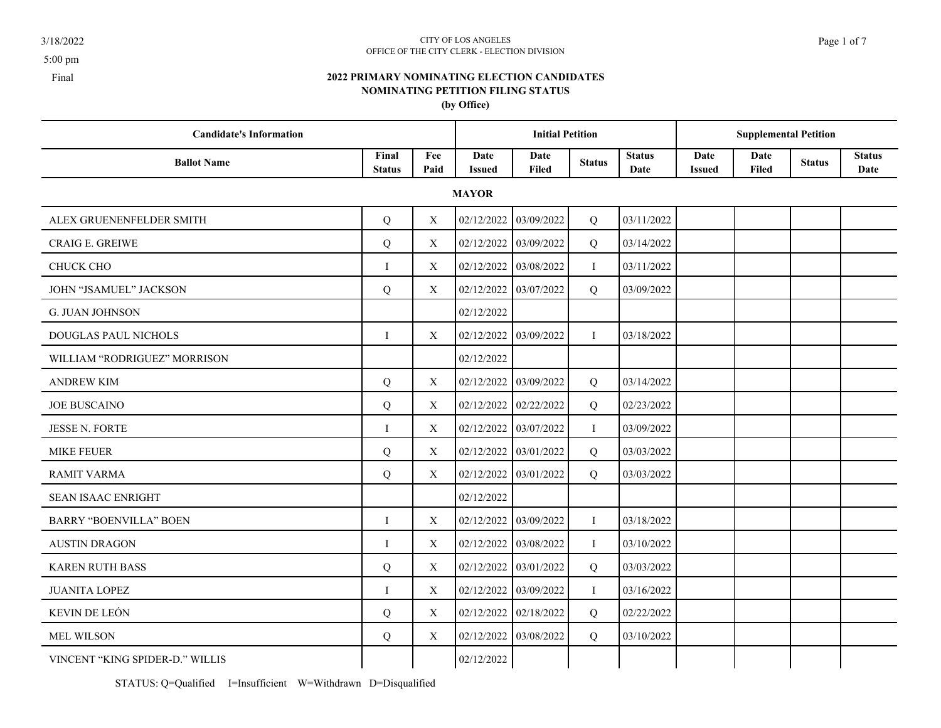### 3/18/2022 CITY OF LOS ANGELES Page 1 of 7 OFFICE OF THE CITY CLERK - ELECTION DIVISION

**2022 PRIMARY NOMINATING ELECTION CANDIDATES NOMINATING PETITION FILING STATUS**

**(by Office)**

| <b>Candidate's Information</b>  |                        |             |                       | <b>Initial Petition</b> |                |                       |                       | <b>Supplemental Petition</b> |               |                       |
|---------------------------------|------------------------|-------------|-----------------------|-------------------------|----------------|-----------------------|-----------------------|------------------------------|---------------|-----------------------|
| <b>Ballot Name</b>              | Final<br><b>Status</b> | Fee<br>Paid | Date<br><b>Issued</b> | Date<br><b>Filed</b>    | <b>Status</b>  | <b>Status</b><br>Date | Date<br><b>Issued</b> | Date<br>Filed                | <b>Status</b> | <b>Status</b><br>Date |
|                                 |                        |             | <b>MAYOR</b>          |                         |                |                       |                       |                              |               |                       |
| ALEX GRUENENFELDER SMITH        | Q                      | X           | 02/12/2022            | 03/09/2022              | Q              | 03/11/2022            |                       |                              |               |                       |
| <b>CRAIG E. GREIWE</b>          | Q                      | X           | 02/12/2022            | 03/09/2022              | Q              | 03/14/2022            |                       |                              |               |                       |
| <b>CHUCK CHO</b>                | $\bf{I}$               | X           | 02/12/2022            | 03/08/2022              | $\bf{I}$       | 03/11/2022            |                       |                              |               |                       |
| <b>JOHN "JSAMUEL" JACKSON</b>   | Q                      | X           | 02/12/2022            | 03/07/2022              | Q              | 03/09/2022            |                       |                              |               |                       |
| <b>G. JUAN JOHNSON</b>          |                        |             | 02/12/2022            |                         |                |                       |                       |                              |               |                       |
| <b>DOUGLAS PAUL NICHOLS</b>     | $\bf{I}$               | X           | 02/12/2022            | 03/09/2022              | Ι.             | 03/18/2022            |                       |                              |               |                       |
| WILLIAM "RODRIGUEZ" MORRISON    |                        |             | 02/12/2022            |                         |                |                       |                       |                              |               |                       |
| <b>ANDREW KIM</b>               | Q                      | X           | 02/12/2022            | 03/09/2022              | Q              | 03/14/2022            |                       |                              |               |                       |
| <b>JOE BUSCAINO</b>             | Q                      | X           | 02/12/2022            | 02/22/2022              | Q              | 02/23/2022            |                       |                              |               |                       |
| <b>JESSE N. FORTE</b>           | $\bf{I}$               | X           | 02/12/2022            | 03/07/2022              | $\bf{I}$       | 03/09/2022            |                       |                              |               |                       |
| <b>MIKE FEUER</b>               | Q                      | X           | 02/12/2022            | 03/01/2022              | $\overline{Q}$ | 03/03/2022            |                       |                              |               |                       |
| <b>RAMIT VARMA</b>              | Q                      | X           | 02/12/2022            | 03/01/2022              | Q              | 03/03/2022            |                       |                              |               |                       |
| <b>SEAN ISAAC ENRIGHT</b>       |                        |             | 02/12/2022            |                         |                |                       |                       |                              |               |                       |
| <b>BARRY "BOENVILLA" BOEN</b>   | $\bf{I}$               | X           | 02/12/2022            | 03/09/2022              | $\bf{I}$       | 03/18/2022            |                       |                              |               |                       |
| <b>AUSTIN DRAGON</b>            | $\mathbf{I}$           | X           | 02/12/2022            | 03/08/2022              | $\bf{I}$       | 03/10/2022            |                       |                              |               |                       |
| <b>KAREN RUTH BASS</b>          | Q                      | X           | 02/12/2022            | 03/01/2022              | Q              | 03/03/2022            |                       |                              |               |                       |
| <b>JUANITA LOPEZ</b>            | $\mathbf{I}$           | X           | 02/12/2022            | 03/09/2022              | $\bf{I}$       | 03/16/2022            |                       |                              |               |                       |
| KEVIN DE LEÓN                   | Q                      | X           | 02/12/2022            | 02/18/2022              | Q              | 02/22/2022            |                       |                              |               |                       |
| <b>MEL WILSON</b>               | Q                      | X           | 02/12/2022            | 03/08/2022              | Q              | 03/10/2022            |                       |                              |               |                       |
| VINCENT "KING SPIDER-D." WILLIS |                        |             | 02/12/2022            |                         |                |                       |                       |                              |               |                       |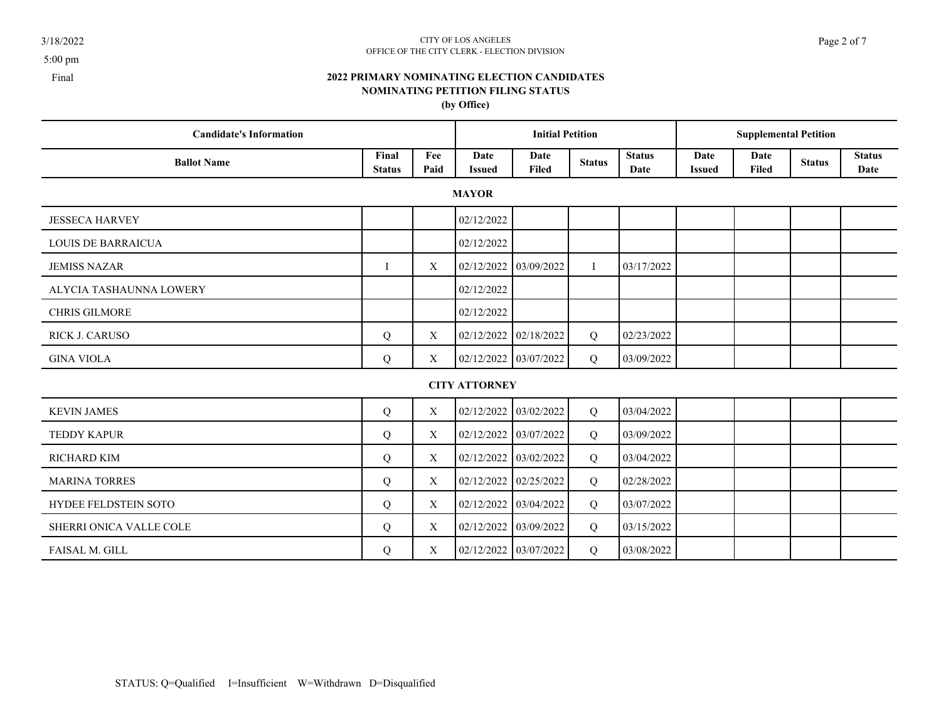### $3/18/2022$  Page 2 of 7 OFFICE OF THE CITY CLERK - ELECTION DIVISION

# **2022 PRIMARY NOMINATING ELECTION CANDIDATES NOMINATING PETITION FILING STATUS**

**(by Office)**

| <b>Candidate's Information</b> |                        |             |                       | <b>Initial Petition</b> |               |                       |                       | <b>Supplemental Petition</b> |               |                       |
|--------------------------------|------------------------|-------------|-----------------------|-------------------------|---------------|-----------------------|-----------------------|------------------------------|---------------|-----------------------|
| <b>Ballot Name</b>             | Final<br><b>Status</b> | Fee<br>Paid | Date<br><b>Issued</b> | Date<br>Filed           | <b>Status</b> | <b>Status</b><br>Date | Date<br><b>Issued</b> | Date<br>Filed                | <b>Status</b> | <b>Status</b><br>Date |
|                                |                        |             | <b>MAYOR</b>          |                         |               |                       |                       |                              |               |                       |
| <b>JESSECA HARVEY</b>          |                        |             | 02/12/2022            |                         |               |                       |                       |                              |               |                       |
| <b>LOUIS DE BARRAICUA</b>      |                        |             | 02/12/2022            |                         |               |                       |                       |                              |               |                       |
| <b>JEMISS NAZAR</b>            | T                      | X           | 02/12/2022            | 03/09/2022              | $\bf{I}$      | 03/17/2022            |                       |                              |               |                       |
| ALYCIA TASHAUNNA LOWERY        |                        |             | 02/12/2022            |                         |               |                       |                       |                              |               |                       |
| <b>CHRIS GILMORE</b>           |                        |             | 02/12/2022            |                         |               |                       |                       |                              |               |                       |
| RICK J. CARUSO                 | Q                      | X           | 02/12/2022            | 02/18/2022              | Q             | 02/23/2022            |                       |                              |               |                       |
| <b>GINA VIOLA</b>              | Q                      | X           | 02/12/2022            | 03/07/2022              | Q             | 03/09/2022            |                       |                              |               |                       |
|                                |                        |             | <b>CITY ATTORNEY</b>  |                         |               |                       |                       |                              |               |                       |
| <b>KEVIN JAMES</b>             | Q                      | X           | 02/12/2022            | 03/02/2022              | Q             | 03/04/2022            |                       |                              |               |                       |
| <b>TEDDY KAPUR</b>             | Q                      | X           | 02/12/2022            | 03/07/2022              | Q             | 03/09/2022            |                       |                              |               |                       |
| <b>RICHARD KIM</b>             | Q                      | X           | 02/12/2022            | 03/02/2022              | Q             | 03/04/2022            |                       |                              |               |                       |
| <b>MARINA TORRES</b>           | Q                      | X           | 02/12/2022            | 02/25/2022              | Q             | 02/28/2022            |                       |                              |               |                       |
| HYDEE FELDSTEIN SOTO           | Q                      | X           | 02/12/2022            | 03/04/2022              | Q             | 03/07/2022            |                       |                              |               |                       |
| SHERRI ONICA VALLE COLE        | Q                      | X           | 02/12/2022            | 03/09/2022              | Q             | 03/15/2022            |                       |                              |               |                       |
| <b>FAISAL M. GILL</b>          | Q                      | Χ           |                       | 02/12/2022 03/07/2022   | Q             | 03/08/2022            |                       |                              |               |                       |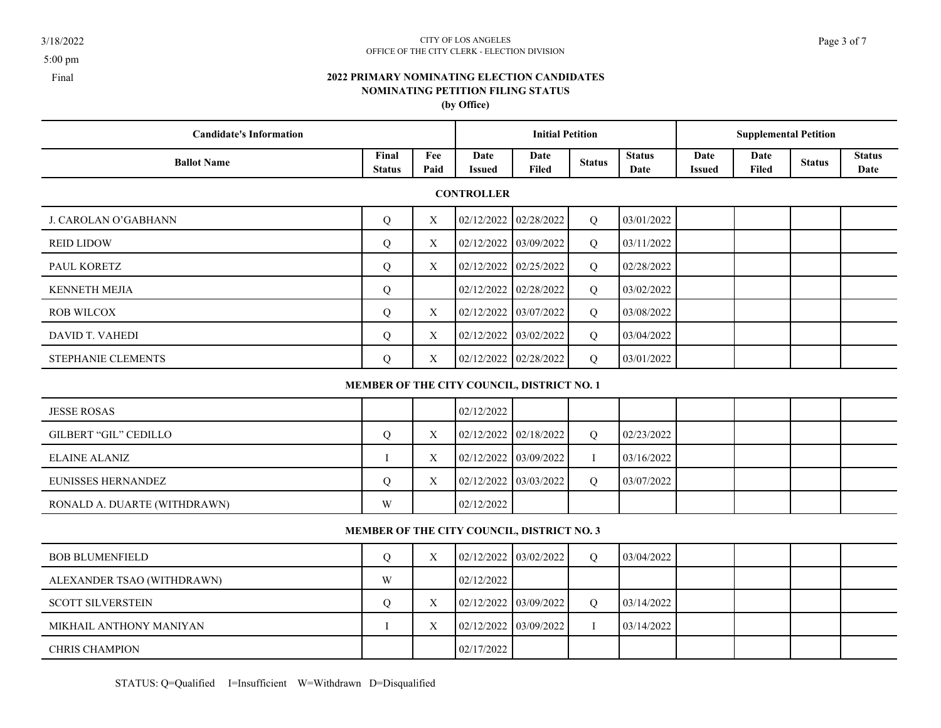5:00 pm

### 3/18/2022 CITY OF LOS ANGELES Page 3 of 7 OFFICE OF THE CITY CLERK - ELECTION DIVISION

## **2022 PRIMARY NOMINATING ELECTION CANDIDATES NOMINATING PETITION FILING STATUS (by Office)**

| <b>Candidate's Information</b> |                        |             |                         | <b>Initial Petition</b> |               |                       | <b>Supplemental Petition</b> |               |               |                       |  |
|--------------------------------|------------------------|-------------|-------------------------|-------------------------|---------------|-----------------------|------------------------------|---------------|---------------|-----------------------|--|
| <b>Ballot Name</b>             | Final<br><b>Status</b> | Fee<br>Paid | Date<br><b>Issued</b>   | Date<br><b>Filed</b>    | <b>Status</b> | <b>Status</b><br>Date | Date<br><b>Issued</b>        | Date<br>Filed | <b>Status</b> | <b>Status</b><br>Date |  |
|                                |                        |             | <b>CONTROLLER</b>       |                         |               |                       |                              |               |               |                       |  |
| J. CAROLAN O'GABHANN           | Q                      | X           | $02/12/2022$ 02/28/2022 |                         | Q             | 03/01/2022            |                              |               |               |                       |  |
| <b>REID LIDOW</b>              | Q                      | X           | 02/12/2022 03/09/2022   |                         | Q             | 03/11/2022            |                              |               |               |                       |  |
| PAUL KORETZ                    | Q                      | X           | $02/12/2022$ 02/25/2022 |                         | Q             | 02/28/2022            |                              |               |               |                       |  |
| <b>KENNETH MEJIA</b>           | Q                      |             | 02/12/2022 02/28/2022   |                         | Q             | 03/02/2022            |                              |               |               |                       |  |
| <b>ROB WILCOX</b>              | Q                      | X           | $02/12/2022$ 03/07/2022 |                         | Q             | 03/08/2022            |                              |               |               |                       |  |
| DAVID T. VAHEDI                | Q                      | X           | 02/12/2022 03/02/2022   |                         | Q             | 03/04/2022            |                              |               |               |                       |  |
| STEPHANIE CLEMENTS             | Q                      | X           | $02/12/2022$ 02/28/2022 |                         | Q             | 03/01/2022            |                              |               |               |                       |  |

# **MEMBER OF THE CITY COUNCIL, DISTRICT NO. 1**

| <b>JESSE ROSAS</b>           |   |   | 02/12/2022                                |          |             |  |  |
|------------------------------|---|---|-------------------------------------------|----------|-------------|--|--|
| GILBERT "GIL" CEDILLO        |   | X | $02/12/2022$ 02/18/2022                   | $\Omega$ | 02/23/2022  |  |  |
| ELAINE ALANIZ                |   | Χ | $\vert 02/12/2022 \vert 03/09/2022 \vert$ |          | 103/16/2022 |  |  |
| EUNISSES HERNANDEZ           |   | Χ | $\vert 02/12/2022 \vert 03/03/2022 \vert$ | $\Omega$ | 03/07/2022  |  |  |
| RONALD A. DUARTE (WITHDRAWN) | W |   | 02/12/2022                                |          |             |  |  |

# **MEMBER OF THE CITY COUNCIL, DISTRICT NO. 3**

| <b>BOB BLUMENFIELD</b>     |   | X                 | 02/12/2022   03/02/2022                   | $\Omega$ | 103/04/2022              |  |  |
|----------------------------|---|-------------------|-------------------------------------------|----------|--------------------------|--|--|
| ALEXANDER TSAO (WITHDRAWN) | W |                   | 02/12/2022                                |          |                          |  |  |
| <b>SCOTT SILVERSTEIN</b>   |   | X                 | $\vert 02/12/2022 \vert 03/09/2022 \vert$ | $\Omega$ | 03/14/2022               |  |  |
| MIKHAIL ANTHONY MANIYAN    |   | $\mathbf{v}$<br>л | 02/12/2022   03/09/2022                   |          | $\vert 03/14/2022 \vert$ |  |  |
| <b>CHRIS CHAMPION</b>      |   |                   | 02/17/2022                                |          |                          |  |  |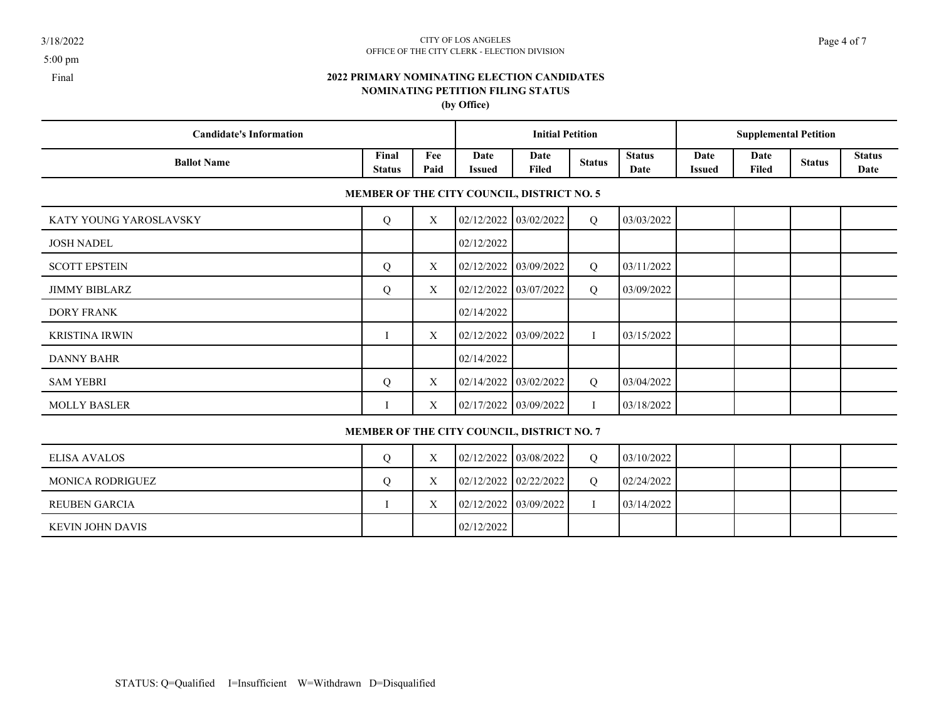### 3/18/2022 CITY OF LOS ANGELES Page 4 of 7 OFFICE OF THE CITY CLERK - ELECTION DIVISION

# **2022 PRIMARY NOMINATING ELECTION CANDIDATES NOMINATING PETITION FILING STATUS (by Office)**

| <b>Candidate's Information</b> |                        |             |                | <b>Initial Petition</b>                    |               |                       | <b>Supplemental Petition</b> |               |               |                       |
|--------------------------------|------------------------|-------------|----------------|--------------------------------------------|---------------|-----------------------|------------------------------|---------------|---------------|-----------------------|
| <b>Ballot Name</b>             | Final<br><b>Status</b> | Fee<br>Paid | Date<br>Issued | Date<br><b>Filed</b>                       | <b>Status</b> | <b>Status</b><br>Date | Date<br><b>Issued</b>        | Date<br>Filed | <b>Status</b> | <b>Status</b><br>Date |
|                                |                        |             |                | MEMBER OF THE CITY COUNCIL, DISTRICT NO. 5 |               |                       |                              |               |               |                       |
| KATY YOUNG YAROSLAVSKY         | Q                      | X           | 02/12/2022     | 03/02/2022                                 | Q             | 03/03/2022            |                              |               |               |                       |
| <b>JOSH NADEL</b>              |                        |             | 02/12/2022     |                                            |               | $\sim$                |                              |               |               |                       |
| <b>SCOTT EPSTEIN</b>           | Q                      | X           | 02/12/2022     | 03/09/2022                                 | Q             | 03/11/2022            |                              |               |               |                       |
| <b>JIMMY BIBLARZ</b>           | Q                      | X           | 02/12/2022     | 03/07/2022                                 | Q             | 03/09/2022            |                              |               |               |                       |
| <b>DORY FRANK</b>              |                        |             | 02/14/2022     |                                            |               |                       |                              |               |               |                       |
| <b>KRISTINA IRWIN</b>          |                        | X           | 02/12/2022     | 03/09/2022                                 |               | 03/15/2022            |                              |               |               |                       |
| <b>DANNY BAHR</b>              |                        |             | 02/14/2022     |                                            |               |                       |                              |               |               |                       |
| <b>SAM YEBRI</b>               | Q                      | X           | 02/14/2022     | 03/02/2022                                 | Q             | 03/04/2022            |                              |               |               |                       |
| <b>MOLLY BASLER</b>            |                        | X           | 02/17/2022     | 03/09/2022                                 |               | 03/18/2022            |                              |               |               |                       |
|                                |                        |             |                |                                            |               |                       |                              |               |               |                       |

# **MEMBER OF THE CITY COUNCIL, DISTRICT NO. 7**

| ELISA AVALOS     | X | $\vert 02/12/2022 \vert 03/08/2022 \vert$ |  | 03/10/2022 |  |  |
|------------------|---|-------------------------------------------|--|------------|--|--|
| MONICA RODRIGUEZ | Х | $02/12/2022$ $02/22/2022$                 |  | 02/24/2022 |  |  |
| REUBEN GARCIA    |   | $\vert 02/12/2022 \vert 03/09/2022 \vert$ |  | 03/14/2022 |  |  |
| KEVIN JOHN DAVIS |   | 02/12/2022                                |  |            |  |  |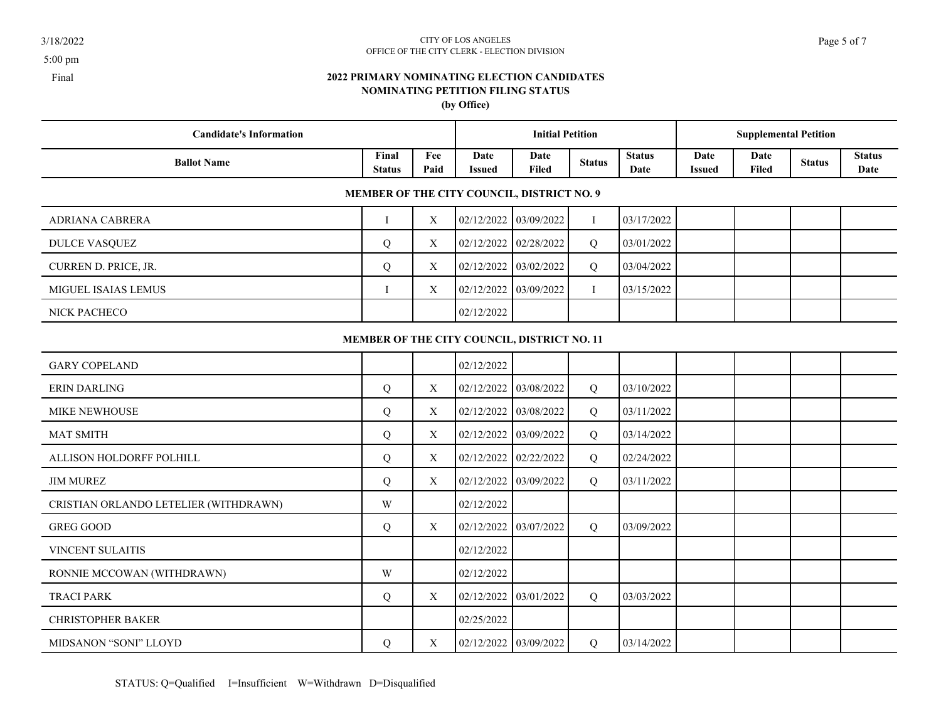### 3/18/2022 CITY OF LOS ANGELES Page 5 of 7 OFFICE OF THE CITY CLERK - ELECTION DIVISION

## **2022 PRIMARY NOMINATING ELECTION CANDIDATES NOMINATING PETITION FILING STATUS (by Office)**

| <b>Candidate's Information</b>        |                        |                  |                       | <b>Initial Petition</b>                     |               |                       |                       | <b>Supplemental Petition</b> |               |                       |
|---------------------------------------|------------------------|------------------|-----------------------|---------------------------------------------|---------------|-----------------------|-----------------------|------------------------------|---------------|-----------------------|
| <b>Ballot Name</b>                    | Final<br><b>Status</b> | Fee<br>Paid      | Date<br><b>Issued</b> | Date<br><b>Filed</b>                        | <b>Status</b> | <b>Status</b><br>Date | Date<br><b>Issued</b> | Date<br>Filed                | <b>Status</b> | <b>Status</b><br>Date |
|                                       |                        |                  |                       | MEMBER OF THE CITY COUNCIL, DISTRICT NO. 9  |               |                       |                       |                              |               |                       |
| ADRIANA CABRERA                       | $\mathbf{I}$           | $\boldsymbol{X}$ | 02/12/2022            | 03/09/2022                                  | $\bf I$       | 03/17/2022            |                       |                              |               |                       |
| <b>DULCE VASQUEZ</b>                  | Q                      | X                | 02/12/2022            | 02/28/2022                                  | Q             | 03/01/2022            |                       |                              |               |                       |
| CURREN D. PRICE, JR.                  | Q                      | X                | 02/12/2022            | 03/02/2022                                  | Q             | 03/04/2022            |                       |                              |               |                       |
| <b>MIGUEL ISAIAS LEMUS</b>            | I                      | X                | 02/12/2022            | 03/09/2022                                  | $\mathbf I$   | 03/15/2022            |                       |                              |               |                       |
| NICK PACHECO                          |                        |                  | 02/12/2022            |                                             |               |                       |                       |                              |               |                       |
|                                       |                        |                  |                       | MEMBER OF THE CITY COUNCIL, DISTRICT NO. 11 |               |                       |                       |                              |               |                       |
| <b>GARY COPELAND</b>                  |                        |                  | 02/12/2022            |                                             |               |                       |                       |                              |               |                       |
| <b>ERIN DARLING</b>                   | $\overline{Q}$         | X                | 02/12/2022            | 03/08/2022                                  | Q             | 03/10/2022            |                       |                              |               |                       |
| MIKE NEWHOUSE                         | Q                      | $\mathbf X$      | 02/12/2022            | 03/08/2022                                  | Q             | 03/11/2022            |                       |                              |               |                       |
| <b>MAT SMITH</b>                      | Q                      | X                | 02/12/2022            | 03/09/2022                                  | Q             | 03/14/2022            |                       |                              |               |                       |
| ALLISON HOLDORFF POLHILL              | Q                      | X                | 02/12/2022            | 02/22/2022                                  | Q             | 02/24/2022            |                       |                              |               |                       |
| <b>JIM MUREZ</b>                      | Q                      | X                | 02/12/2022            | 03/09/2022                                  | Q             | 03/11/2022            |                       |                              |               |                       |
| CRISTIAN ORLANDO LETELIER (WITHDRAWN) | W                      |                  | 02/12/2022            |                                             |               |                       |                       |                              |               |                       |
| <b>GREG GOOD</b>                      | Q                      | X                | 02/12/2022            | 03/07/2022                                  | Q             | 03/09/2022            |                       |                              |               |                       |
| VINCENT SULAITIS                      |                        |                  | 02/12/2022            |                                             |               |                       |                       |                              |               |                       |
| RONNIE MCCOWAN (WITHDRAWN)            | W                      |                  | 02/12/2022            |                                             |               |                       |                       |                              |               |                       |

CHRISTOPHER BAKER 2022 25/2022

TRACI PARK  $Q = \begin{bmatrix} 2/12/2022 & 03/01/2022 & 03/01/2022 \end{bmatrix}$ 

MIDSANON "SONI" LLOYD Q X 02/12/2022 03/09/2022 Q 03/14/2022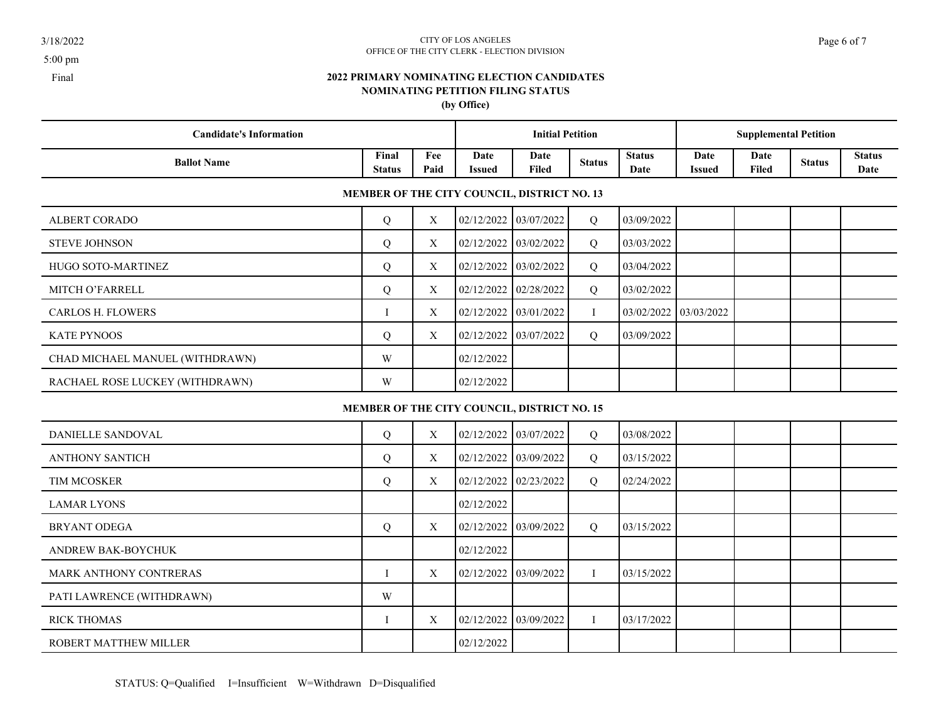### 3/18/2022 CITY OF LOS ANGELES Page 6 of 7 OFFICE OF THE CITY CLERK - ELECTION DIVISION

# **2022 PRIMARY NOMINATING ELECTION CANDIDATES NOMINATING PETITION FILING STATUS (by Office)**

| <b>Candidate's Information</b>  |                        |             |                       | <b>Initial Petition</b>                     |               |                       |                       | <b>Supplemental Petition</b> |               |                       |
|---------------------------------|------------------------|-------------|-----------------------|---------------------------------------------|---------------|-----------------------|-----------------------|------------------------------|---------------|-----------------------|
| <b>Ballot Name</b>              | Final<br><b>Status</b> | Fee<br>Paid | Date<br><b>Issued</b> | Date<br><b>Filed</b>                        | <b>Status</b> | <b>Status</b><br>Date | Date<br><b>Issued</b> | Date<br><b>Filed</b>         | <b>Status</b> | <b>Status</b><br>Date |
|                                 |                        |             |                       | MEMBER OF THE CITY COUNCIL, DISTRICT NO. 13 |               |                       |                       |                              |               |                       |
| <b>ALBERT CORADO</b>            | Q                      | X           |                       | 02/12/2022 03/07/2022                       | Q             | 03/09/2022            |                       |                              |               |                       |
| <b>STEVE JOHNSON</b>            | Q                      | X           | 02/12/2022            | 03/02/2022                                  | Q             | 03/03/2022            |                       |                              |               |                       |
| HUGO SOTO-MARTINEZ              | Q                      | X           | 02/12/2022            | 03/02/2022                                  | Q             | 03/04/2022            |                       |                              |               |                       |
| MITCH O'FARRELL                 | Q                      | X           | 02/12/2022            | 02/28/2022                                  | Q             | 03/02/2022            |                       |                              |               |                       |
| <b>CARLOS H. FLOWERS</b>        | $\mathbf{I}$           | X           | 02/12/2022            | 03/01/2022                                  | $\bf{I}$      | 03/02/2022 03/03/2022 |                       |                              |               |                       |
| KATE PYNOOS                     | Q                      | X           | 02/12/2022 03/07/2022 |                                             | Q             | 03/09/2022            |                       |                              |               |                       |
| CHAD MICHAEL MANUEL (WITHDRAWN) | W                      |             | 02/12/2022            |                                             |               |                       |                       |                              |               |                       |
| RACHAEL ROSE LUCKEY (WITHDRAWN) | W                      |             | 02/12/2022            |                                             |               |                       |                       |                              |               |                       |
|                                 |                        |             |                       | MEMBER OF THE CITY COUNCIL, DISTRICT NO. 15 |               |                       |                       |                              |               |                       |
| DANIELLE SANDOVAL               | Q                      | X           | 02/12/2022            | 03/07/2022                                  | Q             | 03/08/2022            |                       |                              |               |                       |
| <b>ANTHONY SANTICH</b>          | Q                      | X           | 02/12/2022            | 03/09/2022                                  | Q             | 03/15/2022            |                       |                              |               |                       |
| TIM MCOSKER                     | Q                      | X           | 02/12/2022 02/23/2022 |                                             | Q             | 02/24/2022            |                       |                              |               |                       |
| <b>LAMAR LYONS</b>              |                        |             | 02/12/2022            |                                             |               |                       |                       |                              |               |                       |
| <b>BRYANT ODEGA</b>             | Q                      | X           | 02/12/2022            | 03/09/2022                                  | Q             | 03/15/2022            |                       |                              |               |                       |
| ANDREW BAK-BOYCHUK              |                        |             | 02/12/2022            |                                             |               |                       |                       |                              |               |                       |
| MARK ANTHONY CONTRERAS          | $\mathbf{I}$           | X           | 02/12/2022            | 03/09/2022                                  | $\bf{I}$      | 03/15/2022            |                       |                              |               |                       |
| PATI LAWRENCE (WITHDRAWN)       | W                      |             |                       |                                             |               |                       |                       |                              |               |                       |
| <b>RICK THOMAS</b>              | -1                     | X           | 02/12/2022 03/09/2022 |                                             | Ι.            | 03/17/2022            |                       |                              |               |                       |

ROBERT MATTHEW MILLER 02/12/2022